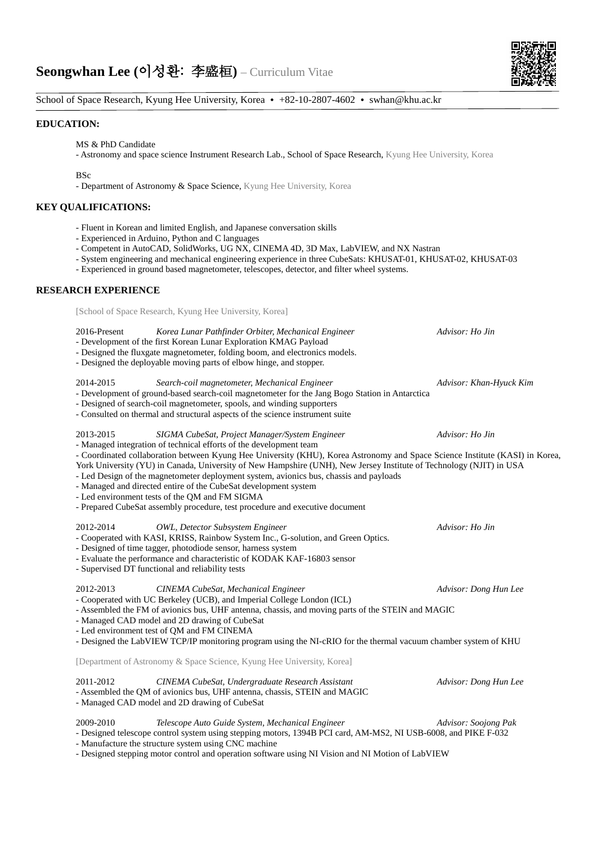

## School of Space Research, Kyung Hee University, Korea • +82-10-2807-4602 • swhan@khu.ac.kr

### **EDUCATION:**

MS & PhD Candidate

- Astronomy and space science Instrument Research Lab., School of Space Research, Kyung Hee University, Korea

 $RS_C$ 

- Department of Astronomy & Space Science, Kyung Hee University, Korea

## **KEY QUALIFICATIONS:**

- Fluent in Korean and limited English, and Japanese conversation skills
- Experienced in Arduino, Python and C languages
- Competent in AutoCAD, SolidWorks, UG NX, CINEMA 4D, 3D Max, LabVIEW, and NX Nastran
- System engineering and mechanical engineering experience in three CubeSats: KHUSAT-01, KHUSAT-02, KHUSAT-03
- Experienced in ground based magnetometer, telescopes, detector, and filter wheel systems.

## **RESEARCH EXPERIENCE**

[School of Space Research, Kyung Hee University, Korea]

### 2016-Present *Korea Lunar Pathfinder Orbiter, Mechanical Engineer Advisor: Ho Jin*

- Development of the first Korean Lunar Exploration KMAG Payload
- Designed the fluxgate magnetometer, folding boom, and electronics models.
- Designed the deployable moving parts of elbow hinge, and stopper.

2014-2015 *Search-coil magnetometer, Mechanical Engineer Advisor: Khan-Hyuck Kim*

- Development of ground-based search-coil magnetometer for the Jang Bogo Station in Antarctica

- Designed of search-coil magnetometer, spools, and winding supporters
- Consulted on thermal and structural aspects of the science instrument suite

# 2013-2015 *SIGMA CubeSat, Project Manager/System Engineer Advisor: Ho Jin*

- Managed integration of technical efforts of the development team

- Coordinated collaboration between Kyung Hee University (KHU), Korea Astronomy and Space Science Institute (KASI) in Korea, York University (YU) in Canada, University of New Hampshire (UNH), New Jersey Institute of Technology (NJIT) in USA

- Led Design of the magnetometer deployment system, avionics bus, chassis and payloads
- Managed and directed entire of the CubeSat development system
- Led environment tests of the QM and FM SIGMA
- Prepared CubeSat assembly procedure, test procedure and executive document

#### 2012-2014 *OWL, Detector Subsystem Engineer Advisor: Ho Jin*

- Cooperated with KASI, KRISS, Rainbow System Inc., G-solution, and Green Optics.
- Designed of time tagger, photodiode sensor, harness system
- Evaluate the performance and characteristic of KODAK KAF-16803 sensor
- Supervised DT functional and reliability tests

## 2012-2013 *CINEMA CubeSat, Mechanical Engineer Advisor: Dong Hun Lee*

- Cooperated with UC Berkeley (UCB), and Imperial College London (ICL)

- Assembled the FM of avionics bus, UHF antenna, chassis, and moving parts of the STEIN and MAGIC

- Managed CAD model and 2D drawing of CubeSat

- Led environment test of QM and FM CINEMA

- Designed the LabVIEW TCP/IP monitoring program using the NI-cRIO for the thermal vacuum chamber system of KHU

[Department of Astronomy & Space Science, Kyung Hee University, Korea]

### 2011-2012 *CINEMA CubeSat, Undergraduate Research Assistant Advisor: Dong Hun Lee*

- Assembled the QM of avionics bus, UHF antenna, chassis, STEIN and MAGIC

- Managed CAD model and 2D drawing of CubeSat

### 2009-2010 *Telescope Auto Guide System, Mechanical Engineer Advisor: Soojong Pak* - Designed telescope control system using stepping motors, 1394B PCI card, AM-MS2, NI USB-6008, and PIKE F-032

- Manufacture the structure system using CNC machine

- Designed stepping motor control and operation software using NI Vision and NI Motion of LabVIEW